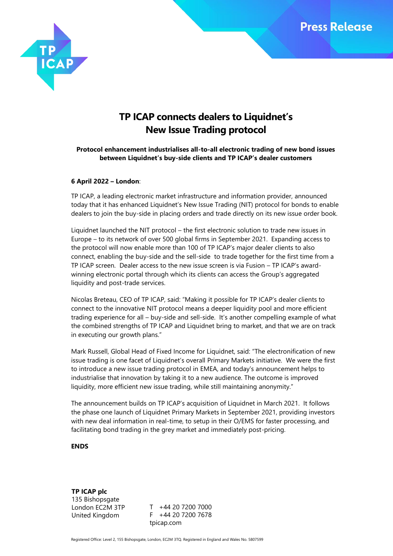

# **TP ICAP connects dealers to Liquidnet's New Issue Trading protocol**

# **Protocol enhancement industrialises all-to-all electronic trading of new bond issues between Liquidnet's buy-side clients and TP ICAP's dealer customers**

## **6 April 2022 – London**:

TP ICAP, a leading electronic market infrastructure and information provider, announced today that it has enhanced Liquidnet's New Issue Trading (NIT) protocol for bonds to enable dealers to join the buy-side in placing orders and trade directly on its new issue order book.

Liquidnet launched the NIT protocol – the first electronic solution to trade new issues in Europe – to its network of over 500 global firms in September 2021. Expanding access to the protocol will now enable more than 100 of TP ICAP's major dealer clients to also connect, enabling the buy-side and the sell-side to trade together for the first time from a TP ICAP screen. Dealer access to the new issue screen is via Fusion – TP ICAP's awardwinning electronic portal through which its clients can access the Group's aggregated liquidity and post-trade services.

Nicolas Breteau, CEO of TP ICAP, said: "Making it possible for TP ICAP's dealer clients to connect to the innovative NIT protocol means a deeper liquidity pool and more efficient trading experience for all – buy-side and sell-side. It's another compelling example of what the combined strengths of TP ICAP and Liquidnet bring to market, and that we are on track in executing our growth plans."

Mark Russell, Global Head of Fixed Income for Liquidnet, said: "The electronification of new issue trading is one facet of Liquidnet's overall Primary Markets initiative. We were the first to introduce a new issue trading protocol in EMEA, and today's announcement helps to industrialise that innovation by taking it to a new audience. The outcome is improved liquidity, more efficient new issue trading, while still maintaining anonymity."

The announcement builds on TP ICAP's acquisition of Liquidnet in March 2021. It follows the phase one launch of Liquidnet Primary Markets in September 2021, providing investors with new deal information in real-time, to setup in their O/EMS for faster processing, and facilitating bond trading in the grey market and immediately post-pricing.

## **ENDS**

**TP ICAP plc** 135 Bishopsgate London EC2M 3TP United Kingdom

T +44 20 7200 7000 F +44 20 7200 7678 tpicap.com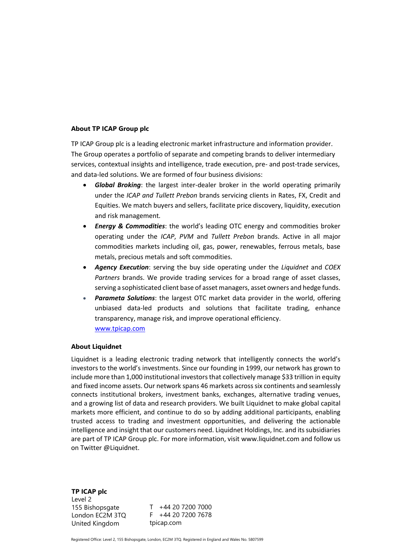### **About TP ICAP Group plc**

TP ICAP Group plc is a leading electronic market infrastructure and information provider. The Group operates a portfolio of separate and competing brands to deliver intermediary services, contextual insights and intelligence, trade execution, pre- and post-trade services, and data-led solutions. We are formed of four business divisions:

- *Global Broking*: the largest inter-dealer broker in the world operating primarily under the *ICAP and Tullett Prebon* brands servicing clients in Rates, FX, Credit and Equities. We match buyers and sellers, facilitate price discovery, liquidity, execution and risk management*.*
- *Energy & Commodities*: the world's leading OTC energy and commodities broker operating under the *ICAP*, *PVM* and *Tullett Prebon* brands. Active in all major commodities markets including oil, gas, power, renewables, ferrous metals, base metals, precious metals and soft commodities.
- *Agency Execution*: serving the buy side operating under the *Liquidnet* and *COEX Partners* brands. We provide trading services for a broad range of asset classes, serving a sophisticated client base of asset managers, asset owners and hedge funds.
- *Parameta Solutions*: the largest OTC market data provider in the world, offering unbiased data-led products and solutions that facilitate trading, enhance transparency, manage risk, and improve operational efficiency. [www.tpicap.com](http://www.tpicap.com/)

#### **About Liquidnet**

Liquidnet is a leading electronic trading network that intelligently connects the world's investors to the world's investments. Since our founding in 1999, our network has grown to include more than 1,000 institutional investors that collectively manage \$33 trillion in equity and fixed income assets. Our network spans 46 markets across six continents and seamlessly connects institutional brokers, investment banks, exchanges, alternative trading venues, and a growing list of data and research providers. We built Liquidnet to make global capital markets more efficient, and continue to do so by adding additional participants, enabling trusted access to trading and investment opportunities, and delivering the actionable intelligence and insight that our customers need. Liquidnet Holdings, Inc. and its subsidiaries are part of TP ICAP Group plc. For more information, visi[t www.liquidnet.com](http://www.liquidnet.com/) and follow us on Twitter @Liquidnet.

**TP ICAP plc** Level 2 155 Bishopsgate London EC2M 3TQ United Kingdom

T +44 20 7200 7000 F +44 20 7200 7678 tpicap.com